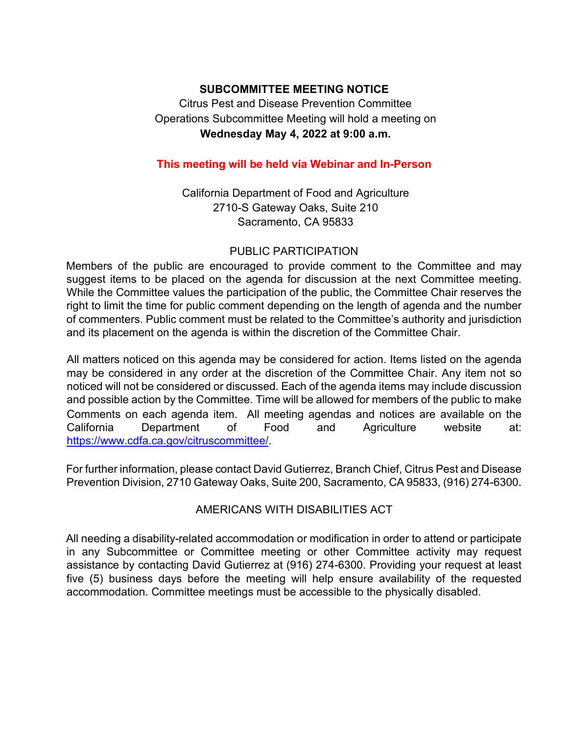# **SUBCOMMITTEE MEETING NOTICE**  Citrus Pest and Disease Prevention Committee Operations Subcommittee Meeting will hold a meeting on **Wednesday May 4, 2022 at 9:00 a.m.**

### **This meeting will be held via Webinar and In-Person**

California Department of Food and Agriculture 2710-S Gateway Oaks, Suite 210 Sacramento, CA 95833

#### PUBLIC PARTICIPATION

Members of the public are encouraged to provide comment to the Committee and may suggest items to be placed on the agenda for discussion at the next Committee meeting. While the Committee values the participation of the public, the Committee Chair reserves the right to limit the time for public comment depending on the length of agenda and the number of commenters. Public comment must be related to the Committee's authority and jurisdiction and its placement on the agenda is within the discretion of the Committee Chair.

 may be considered in any order at the discretion of the Committee Chair. Any item not so noticed will not be considered or discussed. Each of the agenda items may include discussion All matters noticed on this agenda may be considered for action. Items listed on the agenda and possible action by the Committee. Time will be allowed for members of the public to make Comments on each agenda item. All meeting agendas and notices are available on the California Department of Food and Agriculture website at: [https://www.cdfa.ca.gov/citruscommittee/](https://www.cdfa.ca.gov/citruscommittee).

For further information, please contact David Gutierrez, Branch Chief, Citrus Pest and Disease Prevention Division, 2710 Gateway Oaks, Suite 200, Sacramento, CA 95833, (916) 274-6300.

### AMERICANS WITH DISABILITIES ACT

AMERICANS WITH DISABILITIES ACT<br>All needing a disability-related accommodation or modification in order to attend or participate accommodation. Committee meetings must be accessible to the physically disabled. in any Subcommittee or Committee meeting or other Committee activity may request assistance by contacting David Gutierrez at (916) 274-6300. Providing your request at least five (5) business days before the meeting will help ensure availability of the requested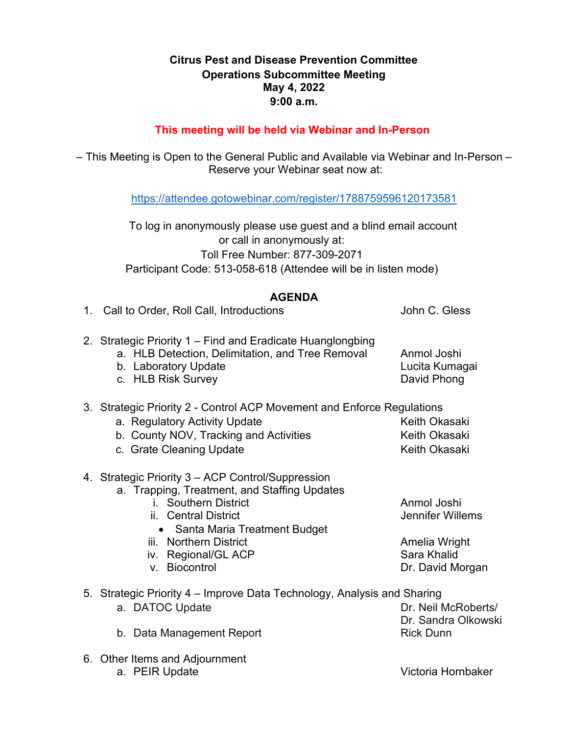### **May 4, 2022 Citrus Pest and Disease Prevention Committee Operations Subcommittee Meeting 9:00 a.m.**

#### **This meeting will be held via Webinar and In-Person**

 Reserve your Webinar seat now at: – This Meeting is Open to the General Public and Available via Webinar and In-Person –

[https://attendee.gotowebinar.com/register/1788759596120173581](https://gcc02.safelinks.protection.outlook.com/?url=https%3A%2F%2Fattendee.gotowebinar.com%2Fregister%2F1788759596120173581&data=04%7C01%7CDavid.Gutierrez%40cdfa.ca.gov%7Cbea1198659bb42221c1d08d8c8b071b2%7Cafdfd251a22248978cbaae68cabfffbc%7C0%7C0%7C637480007431111524%7CUnknown%7CTWFpbGZsb3d8eyJWIjoiMC4wLjAwMDAiLCJQIjoiV2luMzIiLCJBTiI6Ik1haWwiLCJXVCI6Mn0%3D%7C1000&sdata=SwotOJom%2F1ut7nY9foWrOMISoF4atmhEKlwREltLecY%3D&reserved=0) 

 or call in anonymously at: To log in anonymously please use guest and a blind email account Toll Free Number: 877-309-2071 Participant Code: 513-058-618 (Attendee will be in listen mode)

#### **AGENDA**

| 1. Call to Order, Roll Call, Introductions                                                                                                                                                                                                            | John C. Gless                                                                       |
|-------------------------------------------------------------------------------------------------------------------------------------------------------------------------------------------------------------------------------------------------------|-------------------------------------------------------------------------------------|
| 2. Strategic Priority 1 – Find and Eradicate Huanglongbing<br>a. HLB Detection, Delimitation, and Tree Removal<br>b. Laboratory Update<br>c. HLB Risk Survey                                                                                          | Anmol Joshi<br>Lucita Kumagai<br>David Phong                                        |
| 3. Strategic Priority 2 - Control ACP Movement and Enforce Regulations<br>a. Regulatory Activity Update<br>b. County NOV, Tracking and Activities<br>c. Grate Cleaning Update                                                                         | Keith Okasaki<br>Keith Okasaki<br>Keith Okasaki                                     |
| 4. Strategic Priority 3 - ACP Control/Suppression<br>a. Trapping, Treatment, and Staffing Updates<br>i. Southern District<br>ii. Central District<br>• Santa Maria Treatment Budget<br>iii. Northern District<br>iv. Regional/GL ACP<br>v. Biocontrol | Anmol Joshi<br>Jennifer Willems<br>Amelia Wright<br>Sara Khalid<br>Dr. David Morgan |
| 5. Strategic Priority 4 – Improve Data Technology, Analysis and Sharing<br>a. DATOC Update<br>b. Data Management Report                                                                                                                               | Dr. Neil McRoberts/<br>Dr. Sandra Olkowski<br><b>Rick Dunn</b>                      |
| 6. Other Items and Adjournment                                                                                                                                                                                                                        |                                                                                     |

a. PEIR Update Victoria Hornbaker